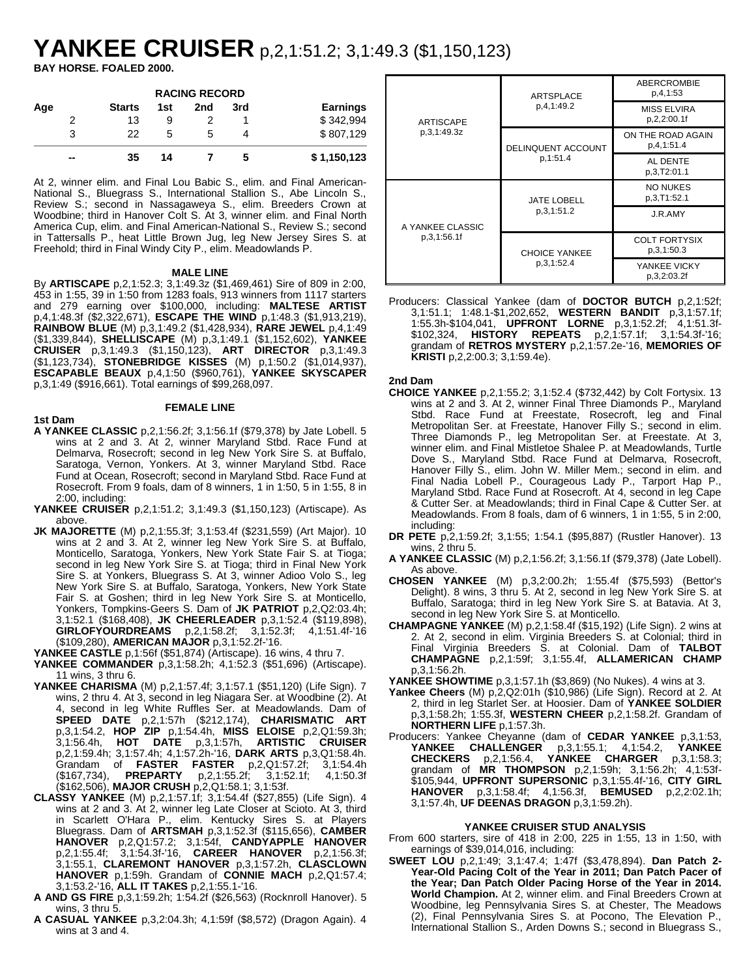# **YANKEE CRUISER** p,2,1:51.2; 3,1:49.3 (\$1,150,123)

**BAY HORSE. FOALED 2000.**

| <b>RACING RECORD</b> |    |               |     |     |     |             |  |
|----------------------|----|---------------|-----|-----|-----|-------------|--|
| Age                  |    | <b>Starts</b> | 1st | 2nd | 3rd | Earnings    |  |
|                      | 2  | 13            | 9   |     |     | \$342.994   |  |
|                      | 3  | 22            | 5   | 5   |     | \$807,129   |  |
|                      | -- | 35            | 14  |     | 5   | \$1,150,123 |  |

At 2, winner elim. and Final Lou Babic S., elim. and Final American-National S., Bluegrass S., International Stallion S., Abe Lincoln S., Review S.; second in Nassagaweya S., elim. Breeders Crown at Woodbine; third in Hanover Colt S. At 3, winner elim. and Final North America Cup, elim. and Final American-National S., Review S.; second in Tattersalls P., heat Little Brown Jug, leg New Jersey Sires S. at Freehold; third in Final Windy City P., elim. Meadowlands P.

# **MALE LINE**

By **ARTISCAPE** p,2,1:52.3; 3,1:49.3z (\$1,469,461) Sire of 809 in 2:00, 453 in 1:55, 39 in 1:50 from 1283 foals, 913 winners from 1117 starters and 279 earning over \$100,000, including: **MALTESE ARTIST** p,4,1:48.3f (\$2,322,671), **ESCAPE THE WIND** p,1:48.3 (\$1,913,219), **RAINBOW BLUE** (M) p,3,1:49.2 (\$1,428,934), **RARE JEWEL** p,4,1:49 (\$1,339,844), **SHELLISCAPE** (M) p,3,1:49.1 (\$1,152,602), **YANKEE CRUISER** p,3,1:49.3 (\$1,150,123), **ART DIRECTOR** p,3,1:49.3 (\$1,123,734), **STONEBRIDGE KISSES** (M) p,1:50.2 (\$1,014,937), **ESCAPABLE BEAUX** p,4,1:50 (\$960,761), **YANKEE SKYSCAPER** p,3,1:49 (\$916,661). Total earnings of \$99,268,097.

### **FEMALE LINE**

- **1st Dam A YANKEE CLASSIC** p,2,1:56.2f; 3,1:56.1f (\$79,378) by Jate Lobell. 5 wins at 2 and 3. At 2, winner Maryland Stbd. Race Fund at Delmarva, Rosecroft; second in leg New York Sire S. at Buffalo, Saratoga, Vernon, Yonkers. At 3, winner Maryland Stbd. Race Fund at Ocean, Rosecroft; second in Maryland Stbd. Race Fund at Rosecroft. From 9 foals, dam of 8 winners, 1 in 1:50, 5 in 1:55, 8 in
- 2:00, including: **YANKEE CRUISER** p,2,1:51.2; 3,1:49.3 (\$1,150,123) (Artiscape). As above.
- **JK MAJORETTE** (M) p,2,1:55.3f; 3,1:53.4f (\$231,559) (Art Major). 10 wins at 2 and 3. At 2, winner leg New York Sire S. at Buffalo, Monticello, Saratoga, Yonkers, New York State Fair S. at Tioga; second in leg New York Sire S. at Tioga; third in Final New York Sire S. at Yonkers, Bluegrass S. At 3, winner Adioo Volo S., leg New York Sire S. at Buffalo, Saratoga, Yonkers, New York State Fair S. at Goshen; third in leg New York Sire S. at Monticello, Yonkers, Tompkins-Geers S. Dam of **JK PATRIOT** p,2,Q2:03.4h; 3,1:52.1 (\$168,408), **JK CHEERLEADER** p,3,1:52.4 (\$119,898), **GIRLOFYOURDREAMS** p,2,1:58.2f; 3,1:52.3f; (\$109,280), **AMERICAN MAJOR** p,3,1:52.2f-'16.

**YANKEE CASTLE** p,1:56f (\$51,874) (Artiscape). 16 wins, 4 thru 7.

- **YANKEE COMMANDER** p,3,1:58.2h; 4,1:52.3 (\$51,696) (Artiscape). 11 wins, 3 thru 6.
- **YANKEE CHARISMA** (M) p,2,1:57.4f; 3,1:57.1 (\$51,120) (Life Sign). 7 wins, 2 thru 4. At 3, second in leg Niagara Ser. at Woodbine (2). At 4, second in leg White Ruffles Ser. at Meadowlands. Dam of **SPEED DATE** p,2,1:57h (\$212,174), **CHARISMATIC ART** p,3,1:54.2, **HOP ZIP** p,1:54.4h, **MISS ELOISE** p,2,Q1:59.3h; 3,1:56.4h, **HOT DATE** p,3,1:57h, **ARTISTIC CRUISER** p,2,1:59.4h; 3,1:57.4h; 4,1:57.2h-'16, **DARK ARTS** p,3,Q1:58.4h. Grandam of **FASTER FASTER** p,2,Q1:57.2f; 3,1:54.4h (\$167,734), **PREPARTY** p,2,1:55.2f; 3,1:52.1f; 4,1:50.3f (\$162,506), **MAJOR CRUSH** p,2,Q1:58.1; 3,1:53f.
- **CLASSY YANKEE** (M) p,2,1:57.1f; 3,1:54.4f (\$27,855) (Life Sign). 4 wins at 2 and 3. At 2, winner leg Late Closer at Scioto. At 3, third in Scarlett O'Hara P., elim. Kentucky Sires S. at Players Bluegrass. Dam of **ARTSMAH** p,3,1:52.3f (\$115,656), **CAMBER HANOVER** p,2,Q1:57.2; 3,1:54f, **CANDYAPPLE HANOVER** p,2,1:55.4f; 3,1:54.3f-'16, **CAREER HANOVER** p,2,1:56.3f; 3,1:55.1, **CLAREMONT HANOVER** p,3,1:57.2h, **CLASCLOWN HANOVER** p,1:59h. Grandam of **CONNIE MACH** p,2,Q1:57.4; 3,1:53.2-'16, **ALL IT TAKES** p,2,1:55.1-'16.
- **A AND GS FIRE** p,3,1:59.2h; 1:54.2f (\$26,563) (Rocknroll Hanover). 5 wins, 3 thru 5.
- **A CASUAL YANKEE** p,3,2:04.3h; 4,1:59f (\$8,572) (Dragon Again). 4 wins at 3 and 4.

|                  | ARTSPLACE                 | <b>ABERCROMBIE</b><br>p.4,1:53     |
|------------------|---------------------------|------------------------------------|
| ARTISCAPE        | p.4.1:49.2                | <b>MISS ELVIRA</b><br>p.2.2:00.1f  |
| p.3.1:49.3z      | <b>DELINQUENT ACCOUNT</b> | ON THE ROAD AGAIN<br>p.4.1:51.4    |
|                  | p.1:51.4                  | AL DENTE<br>p.3,T2:01.1            |
|                  | <b>JATE LOBELL</b>        | <b>NO NUKES</b><br>p.3.T1:52.1     |
| A YANKEE CLASSIC | p.3.1:51.2                | J.R.AMY                            |
| p.3.1:56.1f      | <b>CHOICE YANKEE</b>      | <b>COLT FORTYSIX</b><br>p.3.1:50.3 |
|                  | p, 3, 1:52.4              | YANKEE VICKY<br>p.3.2:03.2f        |

Producers: Classical Yankee (dam of **DOCTOR BUTCH** p,2,1:52f; 3,1:51.1; 1:48.1-\$1,202,652, **WESTERN BANDIT** p,3,1:57.1f; 1:55.3h-\$104,041, **UPFRONT LORNE** p,3,1:52.2f; 4,1:51.3f- \$102,324, **HISTORY REPEATS** p,2,1:57.1f; 3,1:54.3f-'16; grandam of **RETROS MYSTERY** p,2,1:57.2e-'16, **MEMORIES OF KRISTI** p,2,2:00.3; 3,1:59.4e).

# **2nd Dam**

- **CHOICE YANKEE** p,2,1:55.2; 3,1:52.4 (\$732,442) by Colt Fortysix. 13 wins at 2 and 3. At 2, winner Final Three Diamonds P., Maryland Stbd. Race Fund at Freestate, Rosecroft, leg and Final Metropolitan Ser. at Freestate, Hanover Filly S.; second in elim. Three Diamonds P., leg Metropolitan Ser. at Freestate. At 3, winner elim. and Final Mistletoe Shalee P. at Meadowlands, Turtle Dove S., Maryland Stbd. Race Fund at Delmarva, Rosecroft, Hanover Filly S., elim. John W. Miller Mem.; second in elim. and Final Nadia Lobell P., Courageous Lady P., Tarport Hap P., Maryland Stbd. Race Fund at Rosecroft. At 4, second in leg Cape & Cutter Ser. at Meadowlands; third in Final Cape & Cutter Ser. at Meadowlands. From 8 foals, dam of 6 winners, 1 in 1:55, 5 in 2:00, including:
- **DR PETE** p,2,1:59.2f; 3,1:55; 1:54.1 (\$95,887) (Rustler Hanover). 13 wins, 2 thru 5.
- **A YANKEE CLASSIC** (M) p,2,1:56.2f; 3,1:56.1f (\$79,378) (Jate Lobell). As above.
- **CHOSEN YANKEE** (M) p,3,2:00.2h; 1:55.4f (\$75,593) (Bettor's Delight). 8 wins, 3 thru 5. At 2, second in leg New York Sire S. at Buffalo, Saratoga; third in leg New York Sire S. at Batavia. At 3, second in leg New York Sire S. at Monticello.
- **CHAMPAGNE YANKEE** (M) p,2,1:58.4f (\$15,192) (Life Sign). 2 wins at 2. At 2, second in elim. Virginia Breeders S. at Colonial; third in Final Virginia Breeders S. at Colonial. Dam of **TALBOT CHAMPAGNE** p,2,1:59f; 3,1:55.4f, **ALLAMERICAN CHAMP** p,3,1:56.2h.

**YANKEE SHOWTIME** p,3,1:57.1h (\$3,869) (No Nukes). 4 wins at 3.

- **Yankee Cheers** (M) p,2,Q2:01h (\$10,986) (Life Sign). Record at 2. At 2, third in leg Starlet Ser. at Hoosier. Dam of **YANKEE SOLDIER** p,3,1:58.2h; 1:55.3f, **WESTERN CHEER** p,2,1:58.2f. Grandam of **NORTHERN LIFE** p,1:57.3h.
- Producers: Yankee Cheyanne (dam of **CEDAR YANKEE** p,3,1:53, **YANKEE CHALLENGER** p,3,1:55.1; 4,1:54.2, **YANKEE CHECKERS** p,2,1:56.4, **YANKEE CHARGER** p,3,1:58.3; grandam of **MR THOMPSON** p,2,1:59h; 3,1:56.2h; 4,1:53f- \$105,944, **UPFRONT SUPERSONIC** p,3,1:55.4f-'16, **CITY GIRL HANOVER** p,3,1:58.4f; 4,1:56.3f, **BEMUSED** p,2,2:02.1h; 3,1:57.4h, **UF DEENAS DRAGON** p,3,1:59.2h).

# **YANKEE CRUISER STUD ANALYSIS**

- From 600 starters, sire of 418 in 2:00, 225 in 1:55, 13 in 1:50, with earnings of \$39,014,016, including:
- **SWEET LOU** p,2,1:49; 3,1:47.4; 1:47f (\$3,478,894). **Dan Patch 2- Year-Old Pacing Colt of the Year in 2011; Dan Patch Pacer of the Year; Dan Patch Older Pacing Horse of the Year in 2014. World Champion.** At 2, winner elim. and Final Breeders Crown at Woodbine, leg Pennsylvania Sires S. at Chester, The Meadows (2), Final Pennsylvania Sires S. at Pocono, The Elevation P., International Stallion S., Arden Downs S.; second in Bluegrass S.,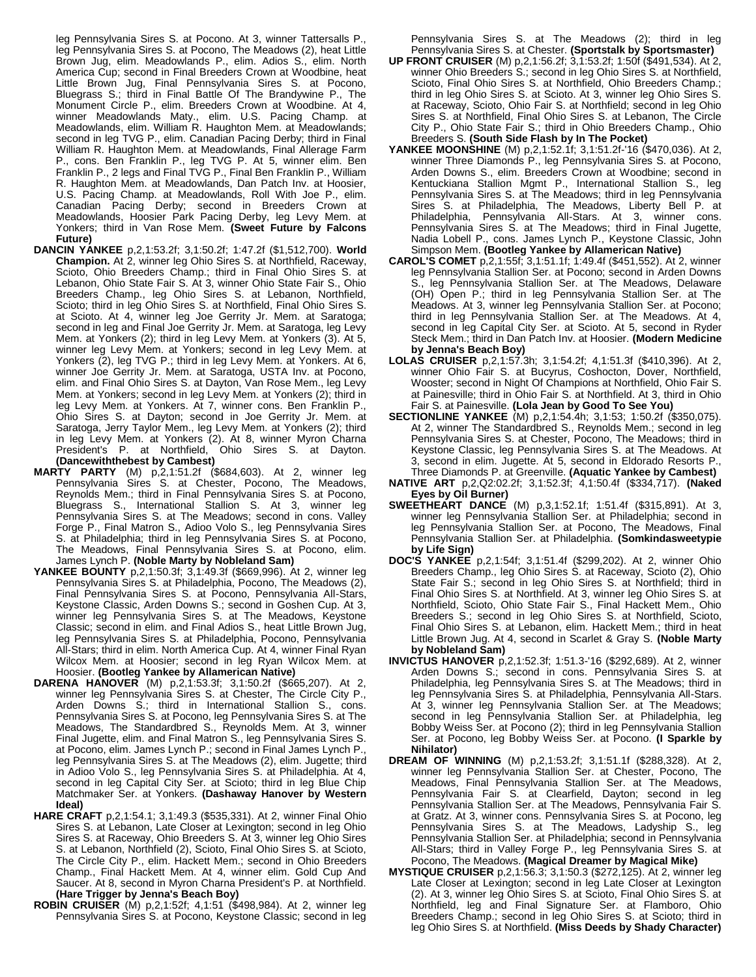leg Pennsylvania Sires S. at Pocono. At 3, winner Tattersalls P., leg Pennsylvania Sires S. at Pocono, The Meadows (2), heat Little Brown Jug, elim. Meadowlands P., elim. Adios S., elim. North America Cup; second in Final Breeders Crown at Woodbine, heat Little Brown Jug, Final Pennsylvania Sires S. at Pocono, Bluegrass S.; third in Final Battle Of The Brandywine P., The Monument Circle P., elim. Breeders Crown at Woodbine. At 4, winner Meadowlands Maty., elim. U.S. Pacing Champ. at Meadowlands, elim. William R. Haughton Mem. at Meadowlands; second in leg TVG P., elim. Canadian Pacing Derby; third in Final William R. Haughton Mem. at Meadowlands, Final Allerage Farm P., cons. Ben Franklin P., leg TVG P. At 5, winner elim. Ben Franklin P., 2 legs and Final TVG P., Final Ben Franklin P., William R. Haughton Mem. at Meadowlands, Dan Patch Inv. at Hoosier, U.S. Pacing Champ. at Meadowlands, Roll With Joe P., elim. Canadian Pacing Derby; second in Breeders Crown at Meadowlands, Hoosier Park Pacing Derby, leg Levy Mem. at Yonkers; third in Van Rose Mem. **(Sweet Future by Falcons Future)**

- **DANCIN YANKEE** p,2,1:53.2f; 3,1:50.2f; 1:47.2f (\$1,512,700). **World Champion.** At 2, winner leg Ohio Sires S. at Northfield, Raceway, Scioto, Ohio Breeders Champ.; third in Final Ohio Sires S. at Lebanon, Ohio State Fair S. At 3, winner Ohio State Fair S., Ohio Breeders Champ., leg Ohio Sires S. at Lebanon, Northfield, Scioto; third in leg Ohio Sires S. at Northfield, Final Ohio Sires S. at Scioto. At 4, winner leg Joe Gerrity Jr. Mem. at Saratoga; second in leg and Final Joe Gerrity Jr. Mem. at Saratoga, leg Levy Mem. at Yonkers (2); third in leg Levy Mem. at Yonkers (3). At 5, winner leg Levy Mem. at Yonkers; second in leg Levy Mem. at Yonkers (2), leg TVG P.; third in leg Levy Mem. at Yonkers. At 6, winner Joe Gerrity Jr. Mem. at Saratoga, USTA Inv. at Pocono, elim. and Final Ohio Sires S. at Dayton, Van Rose Mem., leg Levy Mem. at Yonkers; second in leg Levy Mem. at Yonkers (2); third in leg Levy Mem. at Yonkers. At 7, winner cons. Ben Franklin P., Ohio Sires S. at Dayton; second in Joe Gerrity Jr. Mem. at Saratoga, Jerry Taylor Mem., leg Levy Mem. at Yonkers (2); third in leg Levy Mem. at Yonkers (2). At 8, winner Myron Charna President's P. at Northfield, Ohio Sires S. at Dayton. **(Dancewiththebest by Cambest)**
- **MARTY PARTY** (M) p,2,1:51.2f (\$684,603). At 2, winner leg Pennsylvania Sires S. at Chester, Pocono, The Meadows, Reynolds Mem.; third in Final Pennsylvania Sires S. at Pocono, Bluegrass S., International Stallion S. At 3, winner leg Pennsylvania Sires S. at The Meadows; second in cons. Valley Forge P., Final Matron S., Adioo Volo S., leg Pennsylvania Sires S. at Philadelphia; third in leg Pennsylvania Sires S. at Pocono, The Meadows, Final Pennsylvania Sires S. at Pocono, elim. James Lynch P. **(Noble Marty by Nobleland Sam)**
- **YANKEE BOUNTY** p,2,1:50.3f; 3,1:49.3f (\$669,996). At 2, winner leg Pennsylvania Sires S. at Philadelphia, Pocono, The Meadows (2), Final Pennsylvania Sires S. at Pocono, Pennsylvania All-Stars, Keystone Classic, Arden Downs S.; second in Goshen Cup. At 3, winner leg Pennsylvania Sires S. at The Meadows, Keystone Classic; second in elim. and Final Adios S., heat Little Brown Jug, leg Pennsylvania Sires S. at Philadelphia, Pocono, Pennsylvania All-Stars; third in elim. North America Cup. At 4, winner Final Ryan Wilcox Mem. at Hoosier; second in leg Ryan Wilcox Mem. at Hoosier. **(Bootleg Yankee by Allamerican Native)**
- **DARENA HANOVER** (M) p,2,1:53.3f; 3,1:50.2f (\$665,207). At 2, winner leg Pennsylvania Sires S. at Chester, The Circle City P., Arden Downs S.; third in International Stallion S., cons. Pennsylvania Sires S. at Pocono, leg Pennsylvania Sires S. at The Meadows, The Standardbred S., Reynolds Mem. At 3, winner Final Jugette, elim. and Final Matron S., leg Pennsylvania Sires S. at Pocono, elim. James Lynch P.; second in Final James Lynch P., leg Pennsylvania Sires S. at The Meadows (2), elim. Jugette; third in Adioo Volo S., leg Pennsylvania Sires S. at Philadelphia. At 4, second in leg Capital City Ser. at Scioto; third in leg Blue Chip Matchmaker Ser. at Yonkers. **(Dashaway Hanover by Western Ideal)**
- **HARE CRAFT** p,2,1:54.1; 3,1:49.3 (\$535,331). At 2, winner Final Ohio Sires S. at Lebanon, Late Closer at Lexington; second in leg Ohio Sires S. at Raceway, Ohio Breeders S. At 3, winner leg Ohio Sires S. at Lebanon, Northfield (2), Scioto, Final Ohio Sires S. at Scioto, The Circle City P., elim. Hackett Mem.; second in Ohio Breeders Champ., Final Hackett Mem. At 4, winner elim. Gold Cup And Saucer. At 8, second in Myron Charna President's P. at Northfield. **(Hare Trigger by Jenna's Beach Boy)**
- **ROBIN CRUISER** (M) p,2,1:52f; 4,1:51 (\$498,984). At 2, winner leg Pennsylvania Sires S. at Pocono, Keystone Classic; second in leg

Pennsylvania Sires S. at The Meadows (2); third in leg Pennsylvania Sires S. at Chester. **(Sportstalk by Sportsmaster)**

- **UP FRONT CRUISER** (M) p,2,1:56.2f; 3,1:53.2f; 1:50f (\$491,534). At 2, winner Ohio Breeders S.; second in leg Ohio Sires S. at Northfield, Scioto, Final Ohio Sires S. at Northfield, Ohio Breeders Champ.; third in leg Ohio Sires S. at Scioto. At 3, winner leg Ohio Sires S. at Raceway, Scioto, Ohio Fair S. at Northfield; second in leg Ohio Sires S. at Northfield, Final Ohio Sires S. at Lebanon, The Circle City P., Ohio State Fair S.; third in Ohio Breeders Champ., Ohio Breeders S. **(South Side Flash by In The Pocket)**
- **YANKEE MOONSHINE** (M) p,2,1:52.1f; 3,1:51.2f-'16 (\$470,036). At 2, winner Three Diamonds P., leg Pennsylvania Sires S. at Pocono, Arden Downs S., elim. Breeders Crown at Woodbine; second in Kentuckiana Stallion Mgmt P., International Stallion S., leg Pennsylvania Sires S. at The Meadows; third in leg Pennsylvania Sires S. at Philadelphia, The Meadows, Liberty Bell P. at Philadelphia, Pennsylvania All-Stars. At 3, winner cons. Pennsylvania All-Stars. At 3, winner cons. Pennsylvania Sires S. at The Meadows; third in Final Jugette, Nadia Lobell P., cons. James Lynch P., Keystone Classic, John Simpson Mem. **(Bootleg Yankee by Allamerican Native)**
- **CAROL'S COMET** p,2,1:55f; 3,1:51.1f; 1:49.4f (\$451,552). At 2, winner leg Pennsylvania Stallion Ser. at Pocono; second in Arden Downs S., leg Pennsylvania Stallion Ser. at The Meadows, Delaware (OH) Open P.; third in leg Pennsylvania Stallion Ser. at The Meadows. At 3, winner leg Pennsylvania Stallion Ser. at Pocono; third in leg Pennsylvania Stallion Ser. at The Meadows. At 4, second in leg Capital City Ser. at Scioto. At 5, second in Ryder Steck Mem.; third in Dan Patch Inv. at Hoosier. **(Modern Medicine by Jenna's Beach Boy)**
- **LOLAS CRUISER** p,2,1:57.3h; 3,1:54.2f; 4,1:51.3f (\$410,396). At 2, winner Ohio Fair S. at Bucyrus, Coshocton, Dover, Northfield, Wooster; second in Night Of Champions at Northfield, Ohio Fair S. at Painesville; third in Ohio Fair S. at Northfield. At 3, third in Ohio Fair S. at Painesville. **(Lola Jean by Good To See You)**
- **SECTIONLINE YANKEE** (M) p,2,1:54.4h; 3,1:53; 1:50.2f (\$350,075). At 2, winner The Standardbred S., Reynolds Mem.; second in leg Pennsylvania Sires S. at Chester, Pocono, The Meadows; third in Keystone Classic, leg Pennsylvania Sires S. at The Meadows. At 3, second in elim. Jugette. At 5, second in Eldorado Resorts P., Three Diamonds P. at Greenville. **(Aquatic Yankee by Cambest)**
- **NATIVE ART** p,2,Q2:02.2f; 3,1:52.3f; 4,1:50.4f (\$334,717). **(Naked Eyes by Oil Burner)**
- **SWEETHEART DANCE** (M) p,3,1:52.1f; 1:51.4f (\$315,891). At 3, winner leg Pennsylvania Stallion Ser. at Philadelphia; second in leg Pennsylvania Stallion Ser. at Pocono, The Meadows, Final Pennsylvania Stallion Ser. at Philadelphia. **(Somkindasweetypie by Life Sign)**
- **DOC'S YANKEE** p,2,1:54f; 3,1:51.4f (\$299,202). At 2, winner Ohio Breeders Champ., leg Ohio Sires S. at Raceway, Scioto (2), Ohio State Fair S.; second in leg Ohio Sires S. at Northfield; third in Final Ohio Sires S. at Northfield. At 3, winner leg Ohio Sires S. at Northfield, Scioto, Ohio State Fair S., Final Hackett Mem., Ohio Breeders S.; second in leg Ohio Sires S. at Northfield, Scioto, Final Ohio Sires S. at Lebanon, elim. Hackett Mem.; third in heat Little Brown Jug. At 4, second in Scarlet & Gray S. **(Noble Marty by Nobleland Sam)**
- **INVICTUS HANOVER** p,2,1:52.3f; 1:51.3-'16 (\$292,689). At 2, winner Arden Downs S.; second in cons. Pennsylvania Sires S. at Philadelphia, leg Pennsylvania Sires S. at The Meadows; third in leg Pennsylvania Sires S. at Philadelphia, Pennsylvania All-Stars. At 3, winner leg Pennsylvania Stallion Ser. at The Meadows; second in leg Pennsylvania Stallion Ser. at Philadelphia, leg Bobby Weiss Ser. at Pocono (2); third in leg Pennsylvania Stallion Ser. at Pocono, leg Bobby Weiss Ser. at Pocono. **(I Sparkle by Nihilator)**
- **DREAM OF WINNING** (M) p,2,1:53.2f; 3,1:51.1f (\$288,328). At 2, winner leg Pennsylvania Stallion Ser. at Chester, Pocono, The Meadows, Final Pennsylvania Stallion Ser. at The Meadows, Pennsylvania Fair S. at Clearfield, Dayton; second in leg Pennsylvania Stallion Ser. at The Meadows, Pennsylvania Fair S. at Gratz. At 3, winner cons. Pennsylvania Sires S. at Pocono, leg Pennsylvania Sires S. at The Meadows, Ladyship S., leg Pennsylvania Stallion Ser. at Philadelphia; second in Pennsylvania All-Stars; third in Valley Forge P., leg Pennsylvania Sires S. at Pocono, The Meadows. **(Magical Dreamer by Magical Mike)**
- **MYSTIQUE CRUISER** p,2,1:56.3; 3,1:50.3 (\$272,125). At 2, winner leg Late Closer at Lexington; second in leg Late Closer at Lexington (2). At 3, winner leg Ohio Sires S. at Scioto, Final Ohio Sires S. at Northfield, leg and Final Signature Ser. at Flamboro, Ohio Breeders Champ.; second in leg Ohio Sires S. at Scioto; third in leg Ohio Sires S. at Northfield. **(Miss Deeds by Shady Character)**